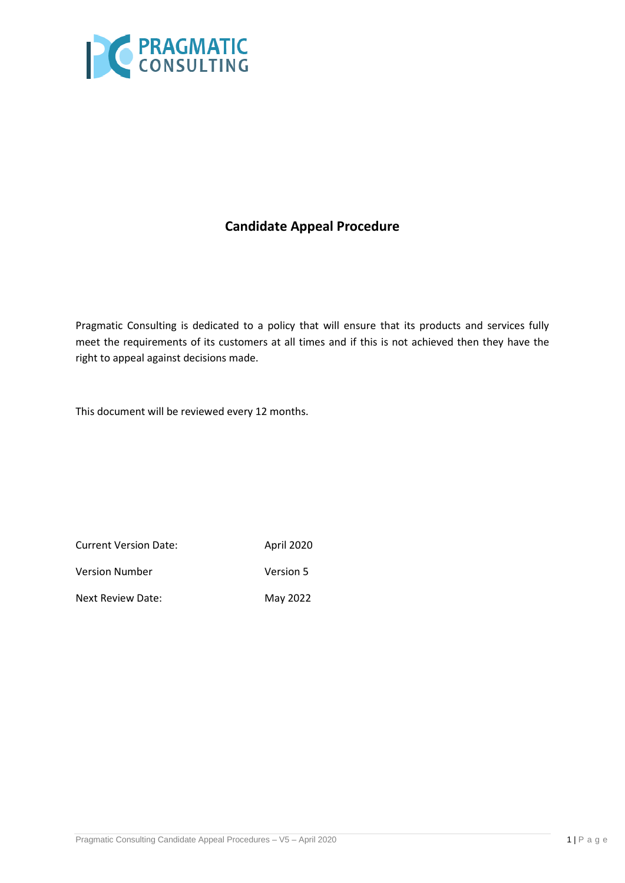

# **Candidate Appeal Procedure**

Pragmatic Consulting is dedicated to a policy that will ensure that its products and services fully meet the requirements of its customers at all times and if this is not achieved then they have the right to appeal against decisions made.

This document will be reviewed every 12 months.

| <b>Current Version Date:</b> | April 2020 |
|------------------------------|------------|
| <b>Version Number</b>        | Version 5  |
| Next Review Date:            | May 2022   |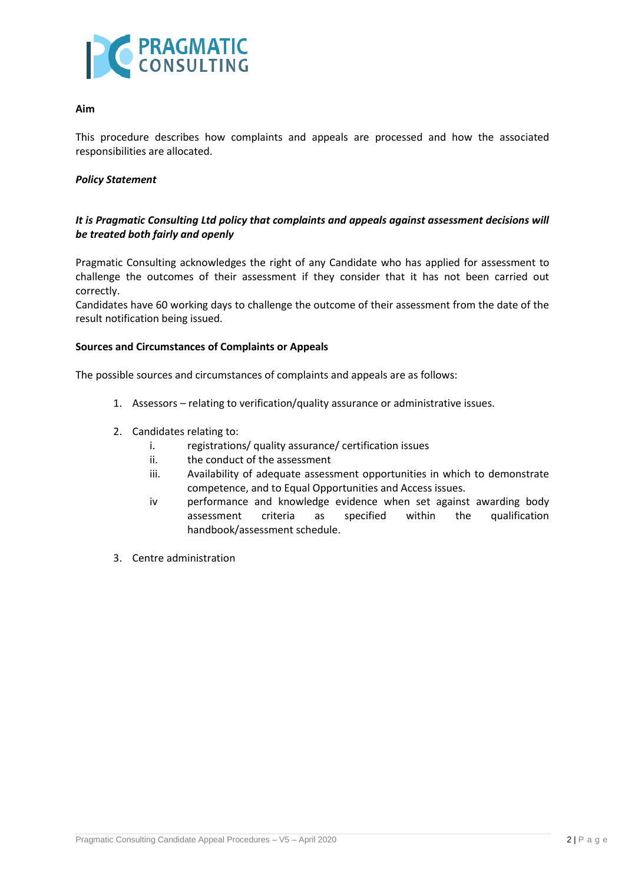

### **Aim**

This procedure describes how complaints and appeals are processed and how the associated responsibilities are allocated.

### *Policy Statement*

## *It is Pragmatic Consulting Ltd policy that complaints and appeals against assessment decisions will be treated both fairly and openly*

Pragmatic Consulting acknowledges the right of any Candidate who has applied for assessment to challenge the outcomes of their assessment if they consider that it has not been carried out correctly.

Candidates have 60 working days to challenge the outcome of their assessment from the date of the result notification being issued.

#### **Sources and Circumstances of Complaints or Appeals**

The possible sources and circumstances of complaints and appeals are as follows:

- 1. Assessors relating to verification/quality assurance or administrative issues.
- 2. Candidates relating to:
	- i. registrations/ quality assurance/ certification issues
	- ii. the conduct of the assessment
	- iii. Availability of adequate assessment opportunities in which to demonstrate competence, and to Equal Opportunities and Access issues.
	- iv performance and knowledge evidence when set against awarding body assessment criteria as specified within the qualification handbook/assessment schedule.
- 3. Centre administration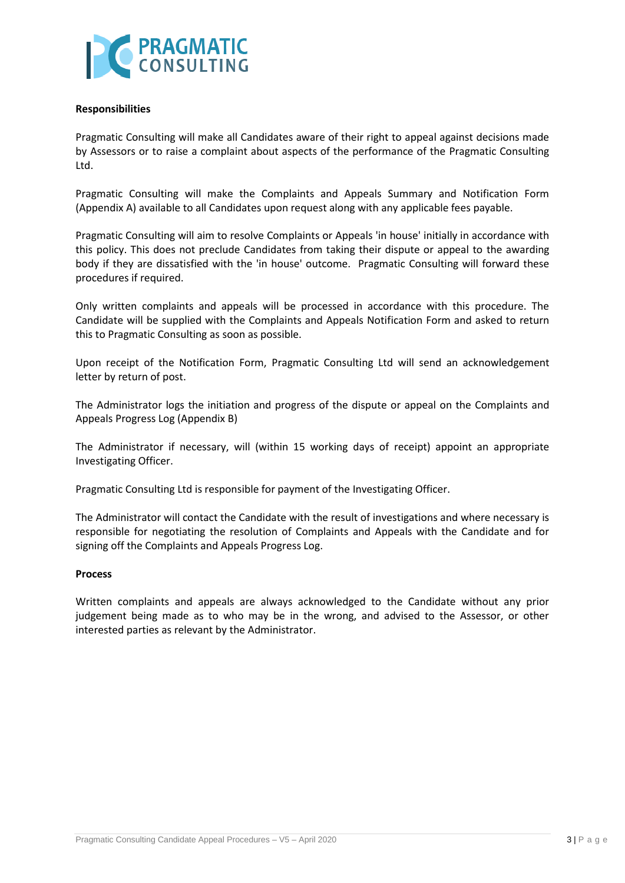

#### **Responsibilities**

Pragmatic Consulting will make all Candidates aware of their right to appeal against decisions made by Assessors or to raise a complaint about aspects of the performance of the Pragmatic Consulting Ltd.

Pragmatic Consulting will make the Complaints and Appeals Summary and Notification Form (Appendix A) available to all Candidates upon request along with any applicable fees payable.

Pragmatic Consulting will aim to resolve Complaints or Appeals 'in house' initially in accordance with this policy. This does not preclude Candidates from taking their dispute or appeal to the awarding body if they are dissatisfied with the 'in house' outcome. Pragmatic Consulting will forward these procedures if required.

Only written complaints and appeals will be processed in accordance with this procedure. The Candidate will be supplied with the Complaints and Appeals Notification Form and asked to return this to Pragmatic Consulting as soon as possible.

Upon receipt of the Notification Form, Pragmatic Consulting Ltd will send an acknowledgement letter by return of post.

The Administrator logs the initiation and progress of the dispute or appeal on the Complaints and Appeals Progress Log (Appendix B)

The Administrator if necessary, will (within 15 working days of receipt) appoint an appropriate Investigating Officer.

Pragmatic Consulting Ltd is responsible for payment of the Investigating Officer.

The Administrator will contact the Candidate with the result of investigations and where necessary is responsible for negotiating the resolution of Complaints and Appeals with the Candidate and for signing off the Complaints and Appeals Progress Log.

#### **Process**

Written complaints and appeals are always acknowledged to the Candidate without any prior judgement being made as to who may be in the wrong, and advised to the Assessor, or other interested parties as relevant by the Administrator.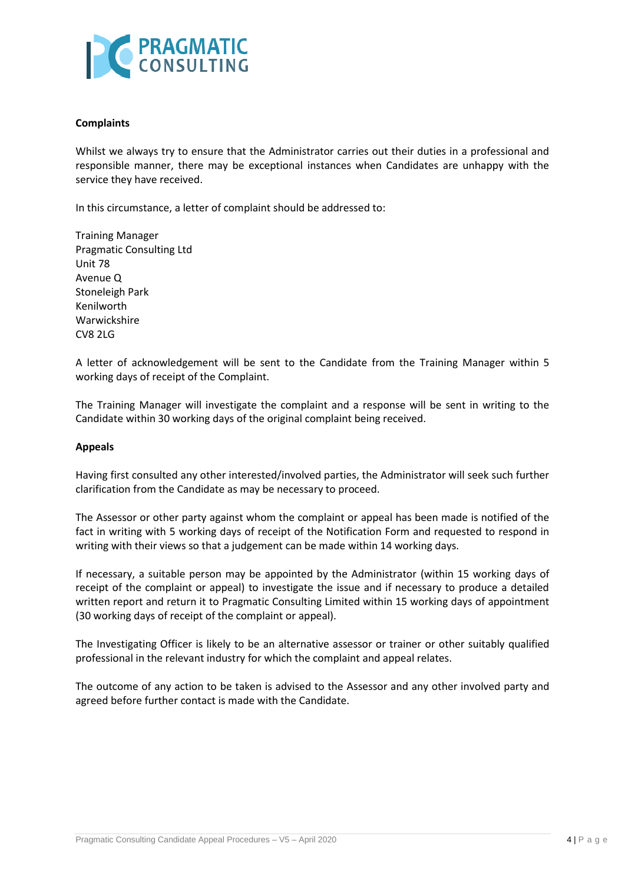

#### **Complaints**

Whilst we always try to ensure that the Administrator carries out their duties in a professional and responsible manner, there may be exceptional instances when Candidates are unhappy with the service they have received.

In this circumstance, a letter of complaint should be addressed to:

Training Manager Pragmatic Consulting Ltd Unit 78 Avenue Q Stoneleigh Park Kenilworth Warwickshire CV8 2LG

A letter of acknowledgement will be sent to the Candidate from the Training Manager within 5 working days of receipt of the Complaint.

The Training Manager will investigate the complaint and a response will be sent in writing to the Candidate within 30 working days of the original complaint being received.

#### **Appeals**

Having first consulted any other interested/involved parties, the Administrator will seek such further clarification from the Candidate as may be necessary to proceed.

The Assessor or other party against whom the complaint or appeal has been made is notified of the fact in writing with 5 working days of receipt of the Notification Form and requested to respond in writing with their views so that a judgement can be made within 14 working days.

If necessary, a suitable person may be appointed by the Administrator (within 15 working days of receipt of the complaint or appeal) to investigate the issue and if necessary to produce a detailed written report and return it to Pragmatic Consulting Limited within 15 working days of appointment (30 working days of receipt of the complaint or appeal).

The Investigating Officer is likely to be an alternative assessor or trainer or other suitably qualified professional in the relevant industry for which the complaint and appeal relates.

The outcome of any action to be taken is advised to the Assessor and any other involved party and agreed before further contact is made with the Candidate.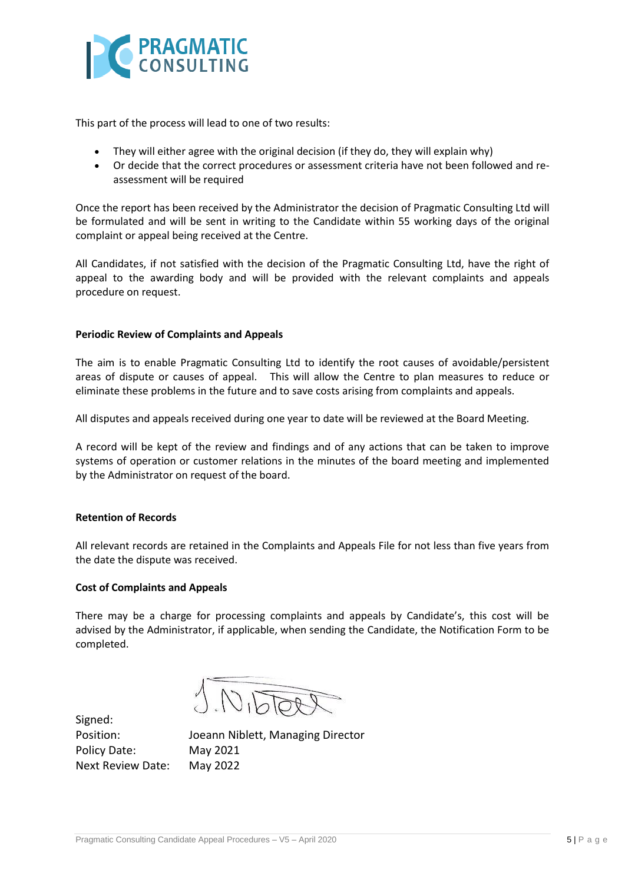

This part of the process will lead to one of two results:

- They will either agree with the original decision (if they do, they will explain why)
- Or decide that the correct procedures or assessment criteria have not been followed and reassessment will be required

Once the report has been received by the Administrator the decision of Pragmatic Consulting Ltd will be formulated and will be sent in writing to the Candidate within 55 working days of the original complaint or appeal being received at the Centre.

All Candidates, if not satisfied with the decision of the Pragmatic Consulting Ltd, have the right of appeal to the awarding body and will be provided with the relevant complaints and appeals procedure on request.

#### **Periodic Review of Complaints and Appeals**

The aim is to enable Pragmatic Consulting Ltd to identify the root causes of avoidable/persistent areas of dispute or causes of appeal. This will allow the Centre to plan measures to reduce or eliminate these problems in the future and to save costs arising from complaints and appeals.

All disputes and appeals received during one year to date will be reviewed at the Board Meeting.

A record will be kept of the review and findings and of any actions that can be taken to improve systems of operation or customer relations in the minutes of the board meeting and implemented by the Administrator on request of the board.

#### **Retention of Records**

All relevant records are retained in the Complaints and Appeals File for not less than five years from the date the dispute was received.

#### **Cost of Complaints and Appeals**

There may be a charge for processing complaints and appeals by Candidate's, this cost will be advised by the Administrator, if applicable, when sending the Candidate, the Notification Form to be completed.

 $\sqrt{1010}$ 

Signed: Policy Date: May 2021 Next Review Date: May 2022

Position: Joeann Niblett, Managing Director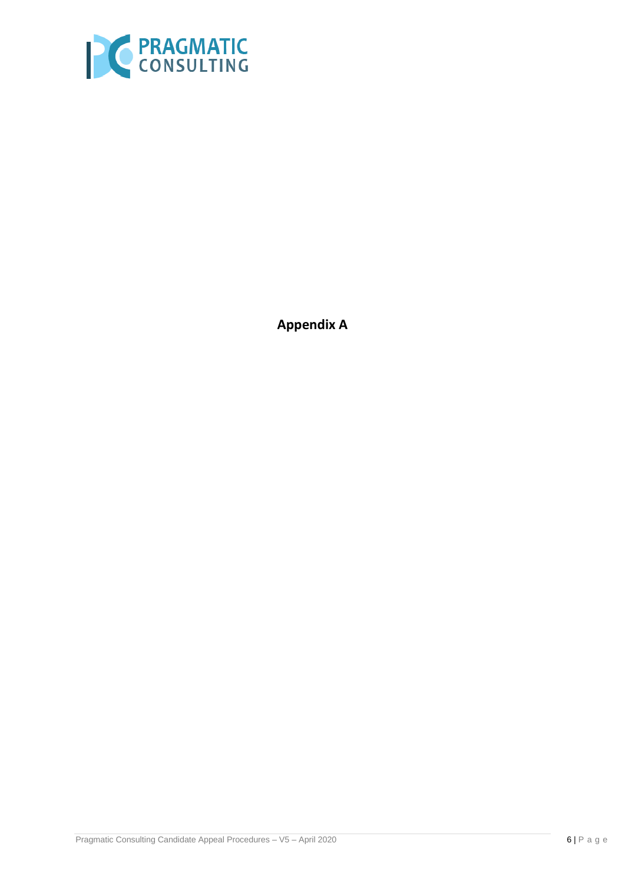

**Appendix A**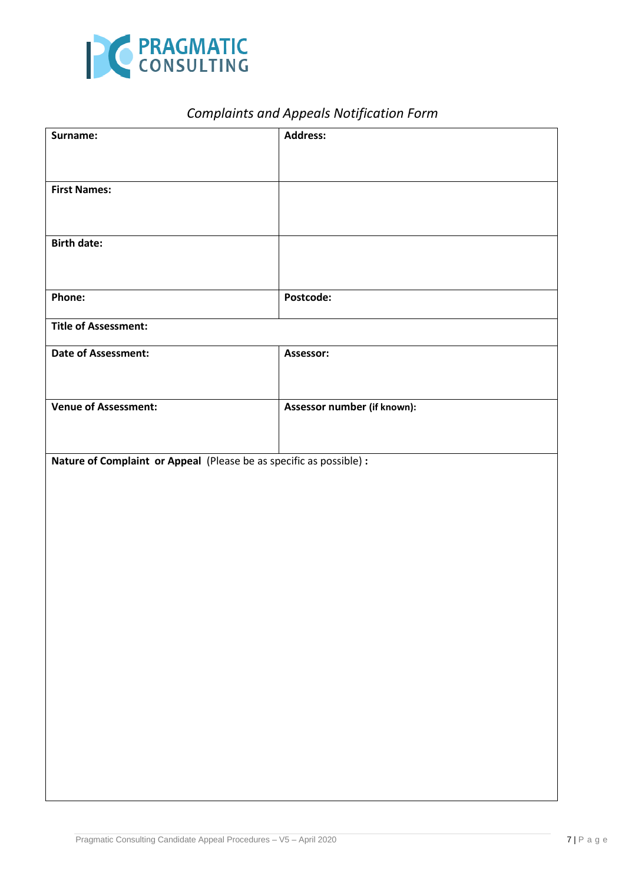

# *Complaints and Appeals Notification Form*

| Surname:                                                            | <b>Address:</b>             |  |
|---------------------------------------------------------------------|-----------------------------|--|
|                                                                     |                             |  |
| <b>First Names:</b>                                                 |                             |  |
|                                                                     |                             |  |
|                                                                     |                             |  |
| <b>Birth date:</b>                                                  |                             |  |
|                                                                     |                             |  |
| Phone:                                                              | Postcode:                   |  |
| <b>Title of Assessment:</b>                                         |                             |  |
| Date of Assessment:                                                 | Assessor:                   |  |
|                                                                     |                             |  |
| <b>Venue of Assessment:</b>                                         | Assessor number (if known): |  |
|                                                                     |                             |  |
| Nature of Complaint or Appeal (Please be as specific as possible) : |                             |  |
|                                                                     |                             |  |
|                                                                     |                             |  |
|                                                                     |                             |  |
|                                                                     |                             |  |
|                                                                     |                             |  |
|                                                                     |                             |  |
|                                                                     |                             |  |
|                                                                     |                             |  |
|                                                                     |                             |  |
|                                                                     |                             |  |
|                                                                     |                             |  |
|                                                                     |                             |  |
|                                                                     |                             |  |
|                                                                     |                             |  |
|                                                                     |                             |  |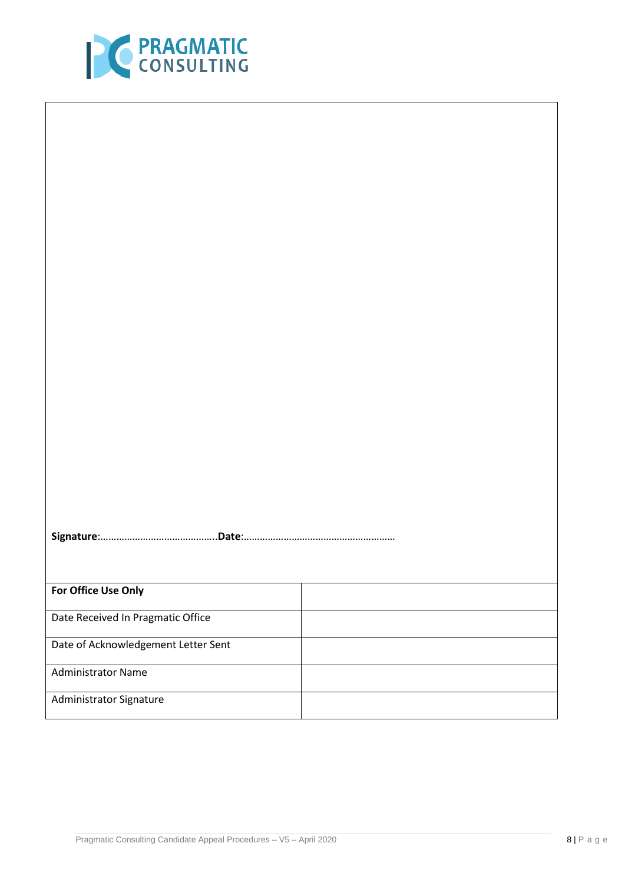

| For Office Use Only                 |  |  |
|-------------------------------------|--|--|
| Date Received In Pragmatic Office   |  |  |
| Date of Acknowledgement Letter Sent |  |  |
| <b>Administrator Name</b>           |  |  |
| Administrator Signature             |  |  |
|                                     |  |  |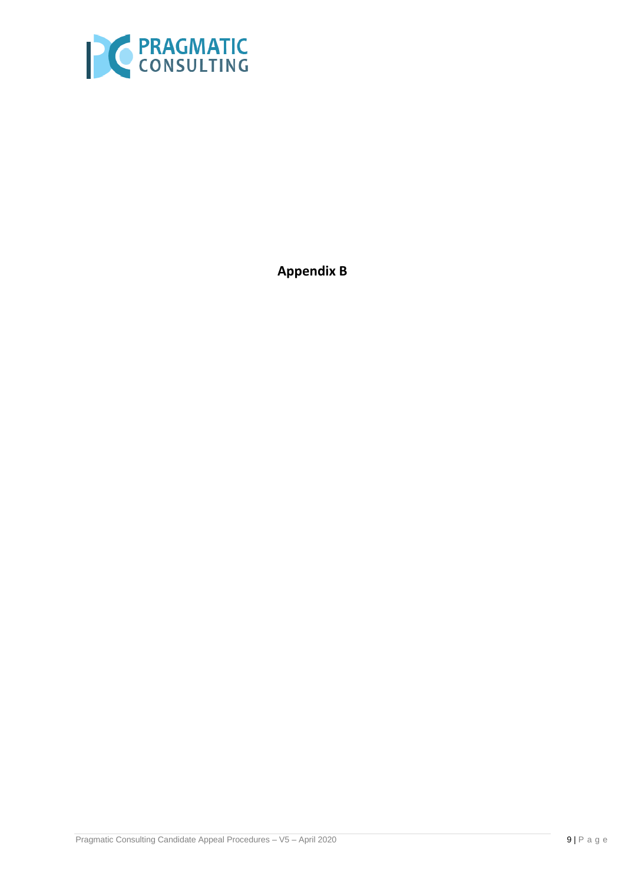

**Appendix B**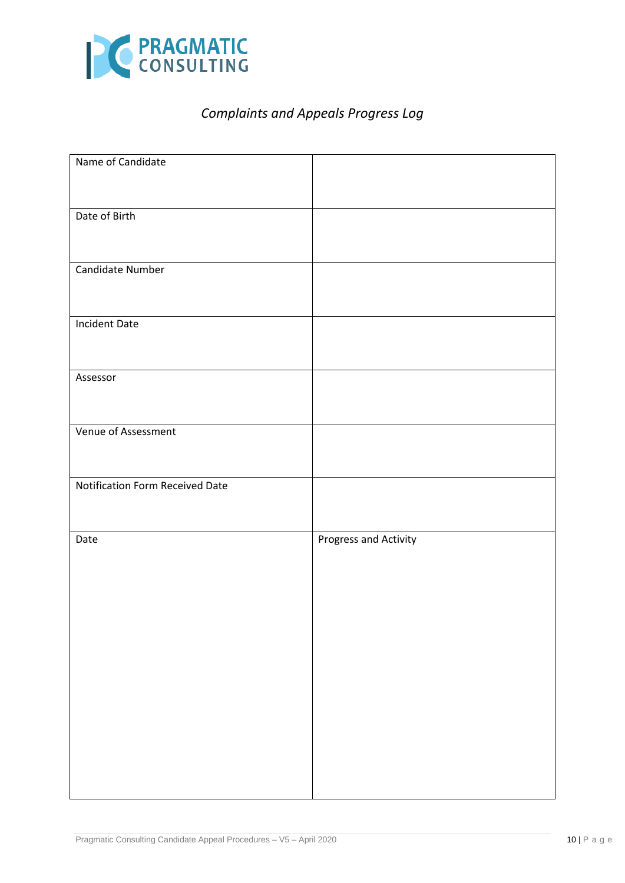

# *Complaints and Appeals Progress Log*

| Name of Candidate               |                       |
|---------------------------------|-----------------------|
|                                 |                       |
|                                 |                       |
|                                 |                       |
| Date of Birth                   |                       |
|                                 |                       |
|                                 |                       |
| Candidate Number                |                       |
|                                 |                       |
|                                 |                       |
|                                 |                       |
| <b>Incident Date</b>            |                       |
|                                 |                       |
|                                 |                       |
|                                 |                       |
| Assessor                        |                       |
|                                 |                       |
|                                 |                       |
|                                 |                       |
| Venue of Assessment             |                       |
|                                 |                       |
|                                 |                       |
|                                 |                       |
| Notification Form Received Date |                       |
|                                 |                       |
|                                 |                       |
|                                 |                       |
| Date                            | Progress and Activity |
|                                 |                       |
|                                 |                       |
|                                 |                       |
|                                 |                       |
|                                 |                       |
|                                 |                       |
|                                 |                       |
|                                 |                       |
|                                 |                       |
|                                 |                       |
|                                 |                       |
|                                 |                       |
|                                 |                       |
|                                 |                       |
|                                 |                       |
|                                 |                       |
|                                 |                       |